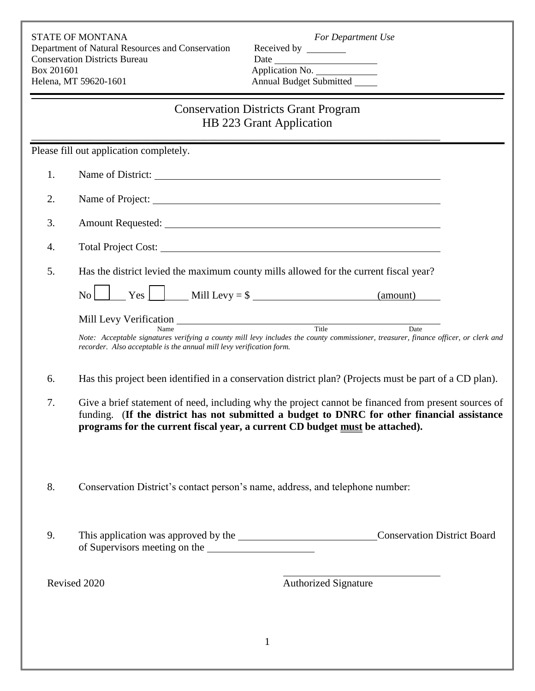STATE OF MONTANA *For Department Use* Department of Natural Resources and Conservation Received by **Conservation Districts Bureau** Box 201601 Application No. Helena, MT 59620-1601 Annual Budget Submitted

# Conservation Districts Grant Program HB 223 Grant Application

\_\_\_\_\_\_\_\_\_\_\_\_\_\_\_\_\_\_\_\_\_\_\_\_\_\_\_\_\_\_\_\_\_\_\_\_\_\_\_\_\_\_\_\_\_\_\_\_\_\_\_\_\_\_\_\_\_\_\_\_\_\_\_\_\_\_\_\_\_\_\_\_\_\_\_\_\_\_

Please fill out application completely.

| 1. | Name of District:                                                                                                                                                                                                                    |
|----|--------------------------------------------------------------------------------------------------------------------------------------------------------------------------------------------------------------------------------------|
| 2. | Name of Project:                                                                                                                                                                                                                     |
| 3. | Amount Requested: <u>the contract of the contract of the contract of the contract of the contract of the contract of the contract of the contract of the contract of the contract of the contract of the contract of the contrac</u> |
| 4. |                                                                                                                                                                                                                                      |
| 5. | Has the district levied the maximum county mills allowed for the current fiscal year?                                                                                                                                                |
|    | $\rm{No}$                                                                                                                                                                                                                            |
|    | Title<br>Date<br>Name<br>Note: Acceptable signatures verifying a county mill levy includes the county commissioner, treasurer, finance officer, or clerk and<br>recorder. Also acceptable is the annual mill levy verification form. |
| 6. | Has this project been identified in a conservation district plan? (Projects must be part of a CD plan).                                                                                                                              |

- 7. Give a brief statement of need, including why the project cannot be financed from present sources of funding. (**If the district has not submitted a budget to DNRC for other financial assistance programs for the current fiscal year, a current CD budget must be attached).**
- 8. Conservation District's contact person's name, address, and telephone number:
- 9. This application was approved by the CONSERVICE CONSERVATION District Board of Supervisors meeting on the

Revised 2020 **Authorized Signature**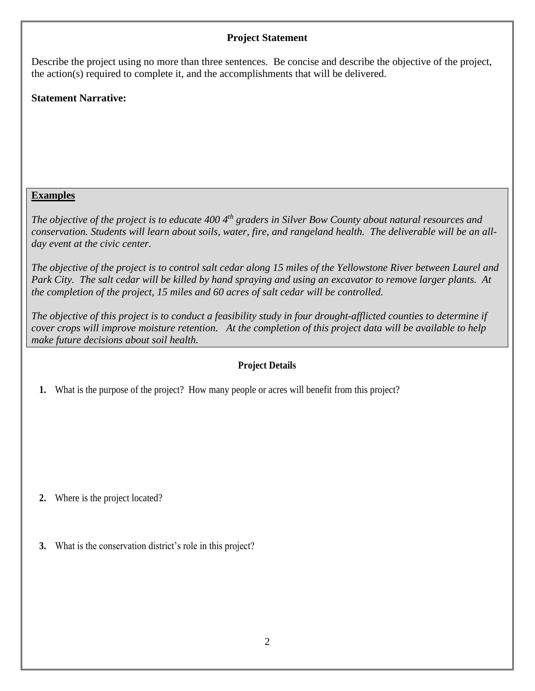## **Project Statement**

Describe the project using no more than three sentences. Be concise and describe the objective of the project, the action(s) required to complete it, and the accomplishments that will be delivered.

# **Statement Narrative:**

## **Examples**

*The objective of the project is to educate 400 4th graders in Silver Bow County about natural resources and conservation. Students will learn about soils, water, fire, and rangeland health. The deliverable will be an allday event at the civic center.*

*The objective of the project is to control salt cedar along 15 miles of the Yellowstone River between Laurel and Park City. The salt cedar will be killed by hand spraying and using an excavator to remove larger plants. At the completion of the project, 15 miles and 60 acres of salt cedar will be controlled.*

*The objective of this project is to conduct a feasibility study in four drought-afflicted counties to determine if cover crops will improve moisture retention. At the completion of this project data will be available to help make future decisions about soil health.*

#### **Project Details**

**1.** What is the purpose of the project? How many people or acres will benefit from this project?

**2.** Where is the project located?

**3.** What is the conservation district's role in this project?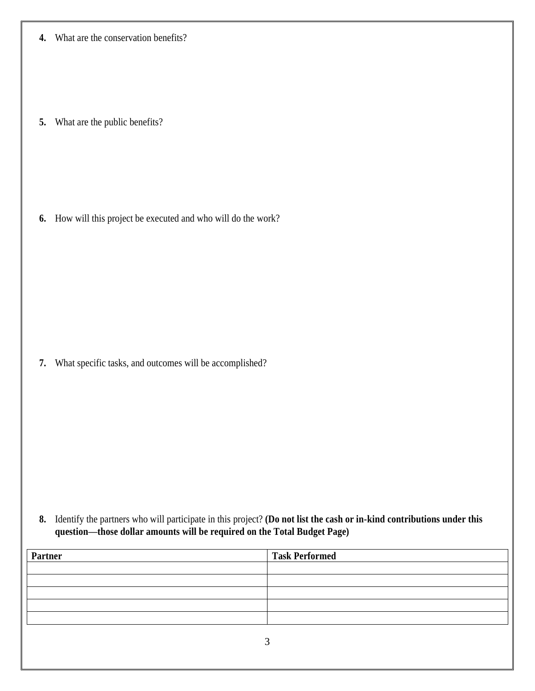**4.** What are the conservation benefits?

**5.** What are the public benefits?

**6.** How will this project be executed and who will do the work?

**7.** What specific tasks, and outcomes will be accomplished?

**8.** Identify the partners who will participate in this project? **(Do not list the cash or in-kind contributions under this question—those dollar amounts will be required on the Total Budget Page)**

| Partner | <b>Task Performed</b> |
|---------|-----------------------|
|         |                       |
|         |                       |
|         |                       |
|         |                       |
|         |                       |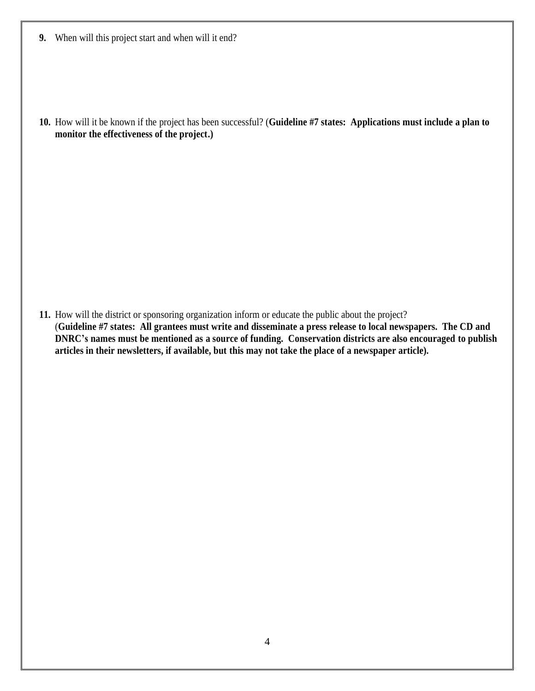**9.** When will this project start and when will it end?

**10.** How will it be known if the project has been successful? (**Guideline #7 states: Applications must include a plan to monitor the effectiveness of the project.)**

**11.** How will the district or sponsoring organization inform or educate the public about the project? (**Guideline #7 states: All grantees must write and disseminate a press release to local newspapers. The CD and DNRC's names must be mentioned as a source of funding. Conservation districts are also encouraged to publish articles in their newsletters, if available, but this may not take the place of a newspaper article).**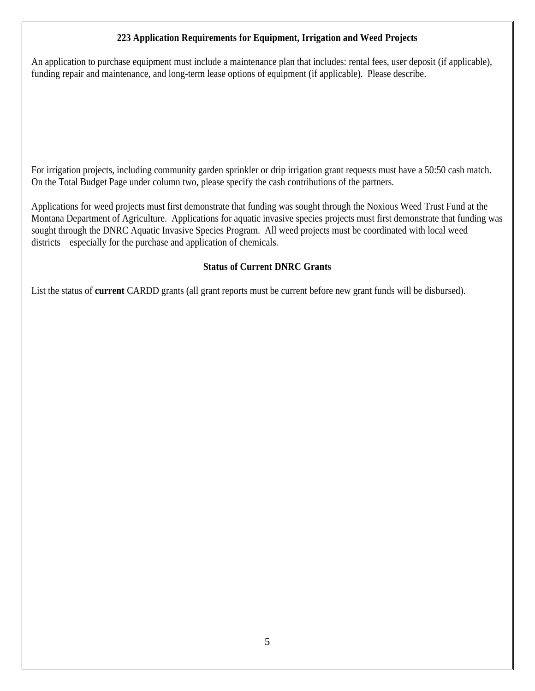### **223 Application Requirements for Equipment, Irrigation and Weed Projects**

An application to purchase equipment must include a maintenance plan that includes: rental fees, user deposit (if applicable), funding repair and maintenance, and long-term lease options of equipment (if applicable). Please describe.

For irrigation projects, including community garden sprinkler or drip irrigation grant requests must have a 50:50 cash match. On the Total Budget Page under column two, please specify the cash contributions of the partners.

Applications for weed projects must first demonstrate that funding was sought through the Noxious Weed Trust Fund at the Montana Department of Agriculture. Applications for aquatic invasive species projects must first demonstrate that funding was sought through the DNRC Aquatic Invasive Species Program. All weed projects must be coordinated with local weed districts—especially for the purchase and application of chemicals.

#### **Status of Current DNRC Grants**

List the status of **current** CARDD grants (all grant reports must be current before new grant funds will be disbursed).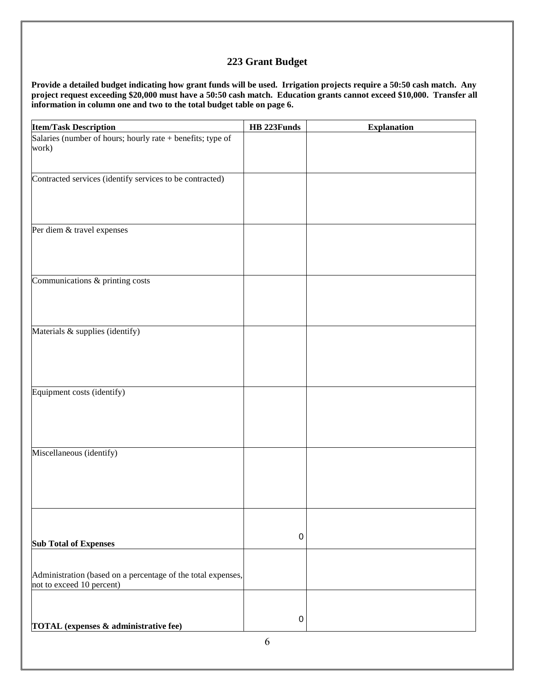#### **223 Grant Budget**

**Provide a detailed budget indicating how grant funds will be used. Irrigation projects require a 50:50 cash match. Any project request exceeding \$20,000 must have a 50:50 cash match. Education grants cannot exceed \$10,000. Transfer all information in column one and two to the total budget table on page 6.**

| <b>Item/Task Description</b>                                                              | HB 223Funds | <b>Explanation</b> |
|-------------------------------------------------------------------------------------------|-------------|--------------------|
| Salaries (number of hours; hourly rate + benefits; type of<br>work)                       |             |                    |
| Contracted services (identify services to be contracted)                                  |             |                    |
| Per diem & travel expenses                                                                |             |                    |
| Communications & printing costs                                                           |             |                    |
| Materials & supplies (identify)                                                           |             |                    |
| Equipment costs (identify)                                                                |             |                    |
| Miscellaneous (identify)                                                                  |             |                    |
| <b>Sub Total of Expenses</b>                                                              | $\pmb{0}$   |                    |
| Administration (based on a percentage of the total expenses,<br>not to exceed 10 percent) |             |                    |
| TOTAL (expenses & administrative fee)                                                     | $\pmb{0}$   |                    |